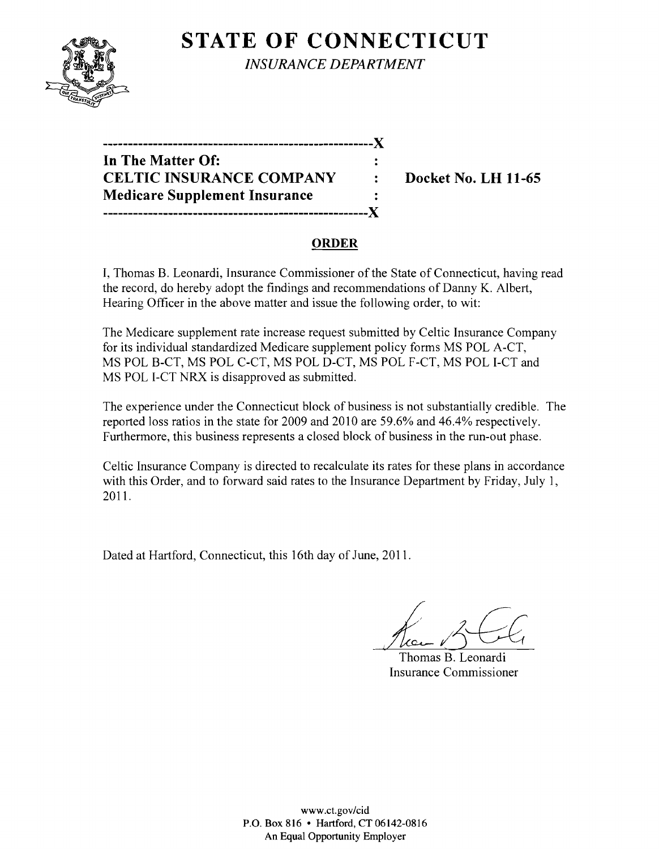

**STATE OF CONNECTICUT** *INSURANCE DEPARTMENT* 

| In The Matter Of:                    | ÷         |
|--------------------------------------|-----------|
| <b>CELTIC INSURANCE COMPANY</b>      | $\bullet$ |
| <b>Medicare Supplement Insurance</b> |           |
| .-------------------------------X    |           |

**Docket No. LH 11-65** 

# **ORDER**

I, Thomas B. Leonardi, Insurance Commissioner of the State of Connecticut, having read the record, do hereby adopt the findings and recommendations of Danny K. Albert, Hearing Officer in the above matter and issue the following order, to wit:

The Medicare supplement rate increase request submitted by Celtic Insurance Company for its individual standardized Medicare supplement policy forms MS POL A-CT, MS POL B-CT, MS POL C-CT, MS POL D-CT, MS POL F-CT, MS POL I-CT and MS POL I-CT NRX is disapproved as submitted.

The experience under the Connecticut block of business is not substantially credible. The reported loss ratios in the state for 2009 and 2010 are 59.6% and 46.4% respectively. Furthermore, this business represents a closed block of business in the run-out phase.

Celtic Insurance Company is directed to recalculate its rates for these plans in accordance with this Order, and to forward said rates to the Insurance Department by Friday, July 1, 2011.

Dated at Hartford, Connecticut, this 16th day of June, 2011.

Thomas B. Leonardi Insurance Commissioner

www.ct.gov/cid P.O. Box 816 • Hartford, CT 06142-0816 An Equal Opportunity Employer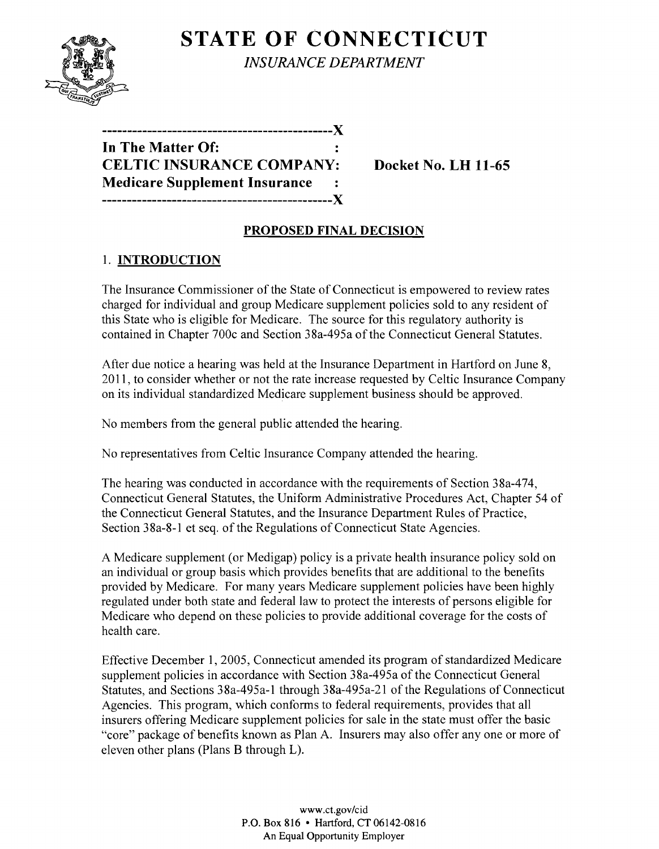

**STATE OF CONNECTICUT** *INSURANCE DEPARTMENT* 

**----------------------------------------------){ In The Matter Of: CELTIC INSURANCE COMPANY: Docket No. LH 11-65 Medicare Supplement Insurance ----------------------------------------------){** 

### **PROPOSED FINAL DECISION**

# 1. **INTRODUCTION**

The Insurance Commissioner of the State of Connecticut is empowered to review rates charged for individual and group Medicare supplement policies sold to any resident of this State who is eligible for Medicare. The source for this regulatory authority is contained in Chapter 700c and Section 38a-495a of the Connecticut General Statutes.

After due notice a hearing was held at the Insurance Department in Hartford on June 8, 2011, to consider whether or not the rate increase requested by Celtic Insurance Company on its individual standardized Medicare supplement business should be approved.

No members from the general public attended the hearing.

No representatives from Celtic Insurance Company attended the hearing.

The hearing was conducted in accordance with the requirements of Section 38a-474, Connecticut General Statutes, the Uniform Administrative Procedures Act, Chapter 54 of the Connecticut General Statutes, and the Insurance Department Rules of Practice, Section 38a-8-1 et seq. of the Regulations of Connecticut State Agencies.

A Medicare supplement (or Medigap) policy is a private health insurance policy sold on an individual or group basis which provides benefits that are additional to the benefits provided by Medicare. For many years Medicare supplement policies have been highly regulated under both state and federal law to protect the interests of persons eligible for Medicare who depend on these policies to provide additional coverage for the costs of health care.

Effective December 1,2005, Connecticut amended its program of standardized Medicare supplement policies in accordance with Section 38a-495a of the Connecticut General Statutes, and Sections 38a-495a-1 through 38a-495a-21 of the Regulations of Connecticut Agencies. This program, which conforms to federal requirements, provides that all insurers offering Medicare supplement policies for sale in the state must offer the basic "core" package of benefits known as Plan A. Insurers may also offer anyone or more of eleven other plans (Plans B through L).

> www.ct.gov/cid P.O. Box 816 • Hartford, CT 06142-0816 An Equal Opportunity Employer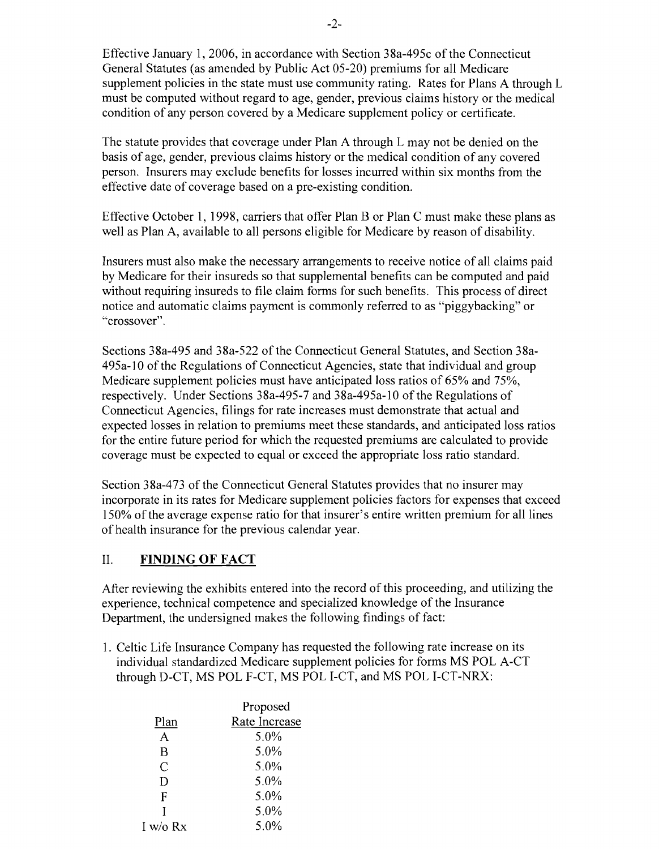Effective January 1,2006, in accordance with Section 38a-495c of the Connecticut General Statutes (as amended by Public Act 05-20) premiums for all Medicare supplement policies in the state must use community rating. Rates for Plans A through L must be computed without regard to age, gender, previous claims history or the medical condition of any person covered by a Medicare supplement policy or certificate.

The statute provides that coverage under Plan A through L may not be denied on the basis of age, gender, previous claims history or the medical condition of any covered person. Insurers may exclude benefits for losses incurred within six months from the effective date of coverage based on a pre-existing condition.

Effective October 1, 1998, carriers that offer Plan B or Plan C must make these plans as well as Plan A, available to all persons eligible for Medicare by reason of disability.

Insurers must also make the necessary arrangements to receive notice of all claims paid by Medicare for their insureds so that supplemental benefits can be computed and paid without requiring insureds to file claim forms for such benefits. This process of direct notice and automatic claims payment is commonly referred to as "piggybacking" or "crossover".

Sections 38a-495 and 38a-522 of the Connecticut General Statutes, and Section 38a-495a-l0 of the Regulations of Connecticut Agencies, state that individual and group Medicare supplement policies must have anticipated loss ratios of 65% and 75%, respectively. Under Sections 38a-495-7 and 38a-495a-1O of the Regulations of Connecticut Agencies, filings for rate increases must demonstrate that actual and expected losses in relation to premiums meet these standards, and anticipated loss ratios for the entire future period for which the requested premiums are calculated to provide coverage must be expected to equal or exceed the appropriate loss ratio standard.

Section 38a-473 of the Connecticut General Statutes provides that no insurer may incorporate in its rates for Medicare supplement policies factors for expenses that exceed 150% of the average expense ratio for that insurer's entire written premium for all lines of health insurance for the previous calendar year.

### II. **FINDING OF FACT**

After reviewing the exhibits entered into the record of this proceeding, and utilizing the experience, technical competence and specialized knowledge of the Insurance Department, the undersigned makes the following findings of fact:

1. Celtic Life Insurance Company has requested the following rate increase on its individual standardized Medicare supplement policies for forms MS POL A-CT through D-CT, MS POL F-CT, MS POL I-CT, and MS POL I-CT-NRX:

|            | Proposed      |  |
|------------|---------------|--|
| Plan       | Rate Increase |  |
| A          | 5.0%          |  |
| B          | 5.0%          |  |
| C          | 5.0%          |  |
| D          | $5.0\%$       |  |
| F          | 5.0%          |  |
|            | 5.0%          |  |
| I w/o $Rx$ | 5.0%          |  |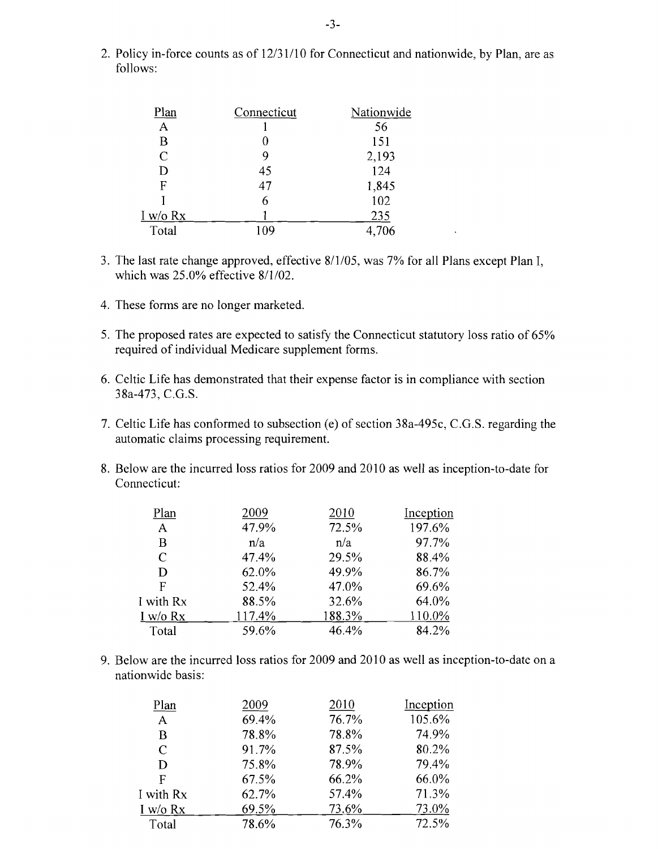2. Policy in-force counts as of 12/31/10 for Connecticut and nationwide, by Plan, are as follows:

| Plan           | Connecticut | Nationwide |
|----------------|-------------|------------|
| A              |             | 56         |
| B              | 0           | 151        |
| $\overline{C}$ | 9           | 2,193      |
| D              | 45          | 124        |
| F              | 47          | 1,845      |
|                | 6           | 102        |
| I w/o Rx       |             | 235        |
| Total          | 109         | 4,706      |

- 3. The last rate change approved, effective 8/1/05, was 7% for all Plans except Plan I, which was 25.0% effective 8/1/02.
- 4. These forms are no longer marketed.
- 5. The proposed rates are expected to satisfy the Connecticut statutory loss ratio of 65% required of individual Medicare supplement forms.
- 6. Celtic Life has demonstrated that their expense factor is in compliance with section 38a-473, C.G.S.
- 7. Celtic Life has conformed to subsection (e) of section 38a-495c, C.G.S. regarding the automatic claims processing requirement.
- 8. Below are the incurred loss ratios for 2009 and 2010 as well as inception-to-date for Connecticut:

| Plan      | 2009   | 2010   | Inception |
|-----------|--------|--------|-----------|
| A         | 47.9%  | 72.5%  | 197.6%    |
| B         | n/a    | n/a    | 97.7%     |
| C         | 47.4%  | 29.5%  | 88.4%     |
| D         | 62.0%  | 49.9%  | 86.7%     |
| F         | 52.4%  | 47.0%  | 69.6%     |
| I with Rx | 88.5%  | 32.6%  | 64.0%     |
| I w/o Rx  | 117.4% | 188.3% | 110.0%    |
| Total     | 59.6%  | 46.4%  | 84.2%     |

9. Below are the incurred loss ratios for 2009 and 2010 as well as inception-to-date on a nationwide basis:

| Plan          | 2009  | 2010  | Inception |
|---------------|-------|-------|-----------|
| $\mathbf{A}$  | 69.4% | 76.7% | 105.6%    |
| B             | 78.8% | 78.8% | 74.9%     |
| $\mathcal{C}$ | 91.7% | 87.5% | 80.2%     |
| D             | 75.8% | 78.9% | 79.4%     |
| F             | 67.5% | 66.2% | 66.0%     |
| I with Rx     | 62.7% | 57.4% | 71.3%     |
| I w/o Rx      | 69.5% | 73.6% | 73.0%     |
| Total         | 78.6% | 76.3% | 72.5%     |